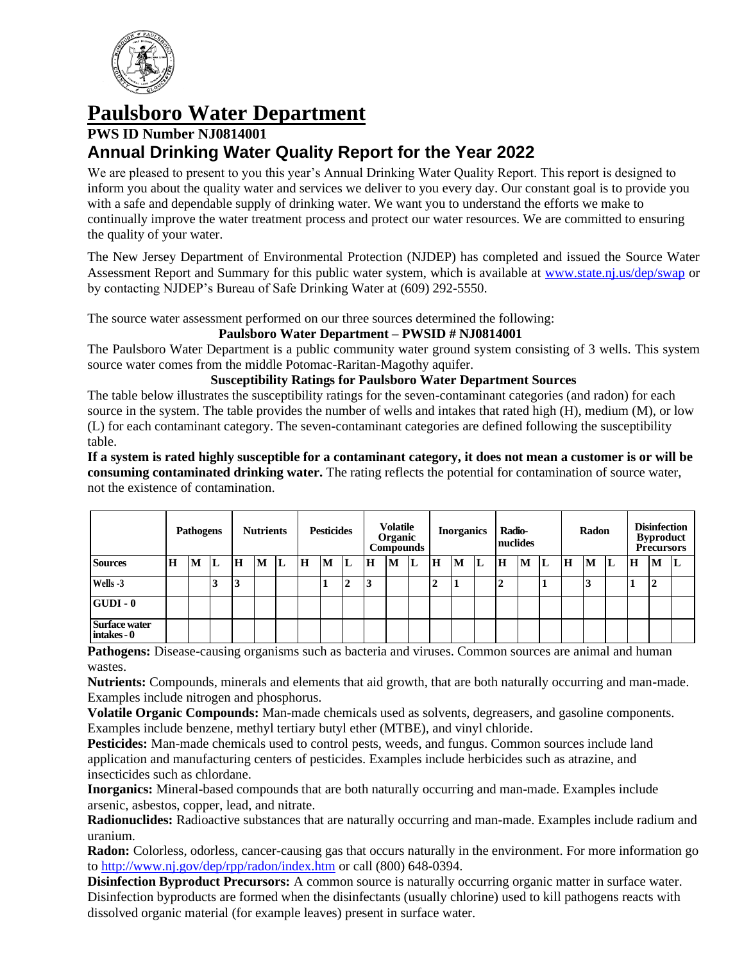

# **Paulsboro Water Department**

## **PWS ID Number NJ0814001 Annual Drinking Water Quality Report for the Year 2022**

We are pleased to present to you this year's Annual Drinking Water Quality Report. This report is designed to inform you about the quality water and services we deliver to you every day. Our constant goal is to provide you with a safe and dependable supply of drinking water. We want you to understand the efforts we make to continually improve the water treatment process and protect our water resources. We are committed to ensuring the quality of your water.

The New Jersey Department of Environmental Protection (NJDEP) has completed and issued the Source Water Assessment Report and Summary for this public water system, which is available at [www.state.nj.us/dep/swap](http://www.state.nj.us/dep/swap) or by contacting NJDEP's Bureau of Safe Drinking Water at (609) 292-5550.

The source water assessment performed on our three sources determined the following:

## **Paulsboro Water Department – PWSID # NJ0814001**

The Paulsboro Water Department is a public community water ground system consisting of 3 wells. This system source water comes from the middle Potomac-Raritan-Magothy aquifer.

## **Susceptibility Ratings for Paulsboro Water Department Sources**

The table below illustrates the susceptibility ratings for the seven-contaminant categories (and radon) for each source in the system. The table provides the number of wells and intakes that rated high (H), medium (M), or low (L) for each contaminant category. The seven-contaminant categories are defined following the susceptibility table.

**If a system is rated highly susceptible for a contaminant category, it does not mean a customer is or will be consuming contaminated drinking water.** The rating reflects the potential for contamination of source water, not the existence of contamination.

| <b>Pathogens</b>                    |   | <b>Nutrients</b> |    | <b>Pesticides</b> |   | <b>Volatile</b><br>Organic<br><b>Compounds</b> |   | <b>Inorganics</b> |        | Radio-<br>nuclides |   | Radon |        |   | <b>Disinfection</b><br><b>Byproduct</b><br><b>Precursors</b> |                |   |   |   |    |    |             |        |   |
|-------------------------------------|---|------------------|----|-------------------|---|------------------------------------------------|---|-------------------|--------|--------------------|---|-------|--------|---|--------------------------------------------------------------|----------------|---|---|---|----|----|-------------|--------|---|
| <b>Sources</b>                      | H | M                | L  | H                 | M | L                                              | H | M                 | L      | H                  | M | L     | H      | M | L                                                            | H              | M | L | H | M  | 'L | $\mathbf H$ | M      | Ш |
| Wells -3                            |   |                  | ., | 3                 |   |                                                |   |                   | ↑<br>◢ | 3                  |   |       | າ<br>◢ | Л |                                                              | $\overline{2}$ |   |   |   | J. |    |             | ↑<br>◢ |   |
| $ GUDI - 0 $                        |   |                  |    |                   |   |                                                |   |                   |        |                    |   |       |        |   |                                                              |                |   |   |   |    |    |             |        |   |
| <b>Surface water</b><br>intakes - 0 |   |                  |    |                   |   |                                                |   |                   |        |                    |   |       |        |   |                                                              |                |   |   |   |    |    |             |        |   |

**Pathogens:** Disease-causing organisms such as bacteria and viruses. Common sources are animal and human wastes.

**Nutrients:** Compounds, minerals and elements that aid growth, that are both naturally occurring and man-made. Examples include nitrogen and phosphorus.

**Volatile Organic Compounds:** Man-made chemicals used as solvents, degreasers, and gasoline components. Examples include benzene, methyl tertiary butyl ether (MTBE), and vinyl chloride.

**Pesticides:** Man-made chemicals used to control pests, weeds, and fungus. Common sources include land application and manufacturing centers of pesticides. Examples include herbicides such as atrazine, and insecticides such as chlordane.

**Inorganics:** Mineral-based compounds that are both naturally occurring and man-made. Examples include arsenic, asbestos, copper, lead, and nitrate.

**Radionuclides:** Radioactive substances that are naturally occurring and man-made. Examples include radium and uranium.

**Radon:** Colorless, odorless, cancer-causing gas that occurs naturally in the environment. For more information go to<http://www.nj.gov/dep/rpp/radon/index.htm> or call (800) 648-0394.

**Disinfection Byproduct Precursors:** A common source is naturally occurring organic matter in surface water. Disinfection byproducts are formed when the disinfectants (usually chlorine) used to kill pathogens reacts with dissolved organic material (for example leaves) present in surface water.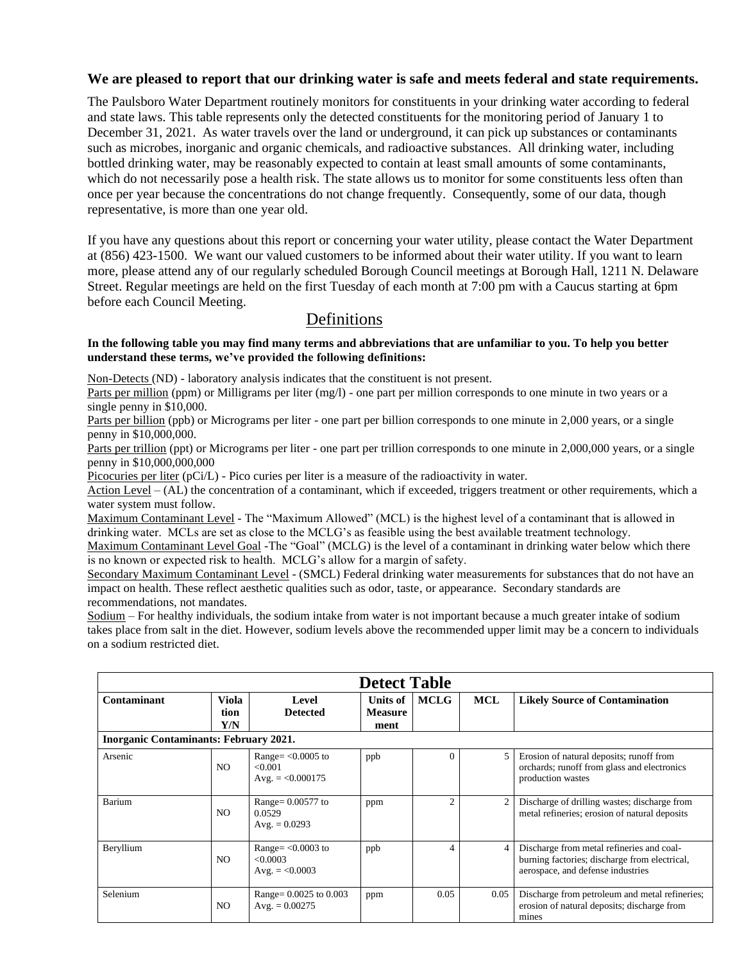## **We are pleased to report that our drinking water is safe and meets federal and state requirements.**

The Paulsboro Water Department routinely monitors for constituents in your drinking water according to federal and state laws. This table represents only the detected constituents for the monitoring period of January 1 to December 31, 2021. As water travels over the land or underground, it can pick up substances or contaminants such as microbes, inorganic and organic chemicals, and radioactive substances. All drinking water, including bottled drinking water, may be reasonably expected to contain at least small amounts of some contaminants, which do not necessarily pose a health risk. The state allows us to monitor for some constituents less often than once per year because the concentrations do not change frequently. Consequently, some of our data, though representative, is more than one year old.

If you have any questions about this report or concerning your water utility, please contact the Water Department at (856) 423-1500. We want our valued customers to be informed about their water utility. If you want to learn more, please attend any of our regularly scheduled Borough Council meetings at Borough Hall, 1211 N. Delaware Street. Regular meetings are held on the first Tuesday of each month at 7:00 pm with a Caucus starting at 6pm before each Council Meeting.

## Definitions

#### **In the following table you may find many terms and abbreviations that are unfamiliar to you. To help you better understand these terms, we've provided the following definitions:**

Non-Detects (ND) - laboratory analysis indicates that the constituent is not present.

Parts per million (ppm) or Milligrams per liter (mg/l) - one part per million corresponds to one minute in two years or a single penny in \$10,000.

Parts per billion (ppb) or Micrograms per liter - one part per billion corresponds to one minute in 2,000 years, or a single penny in \$10,000,000.

Parts per trillion (ppt) or Micrograms per liter - one part per trillion corresponds to one minute in 2,000,000 years, or a single penny in \$10,000,000,000

Picocuries per liter (pCi/L) - Pico curies per liter is a measure of the radioactivity in water.

Action Level – (AL) the concentration of a contaminant, which if exceeded, triggers treatment or other requirements, which a water system must follow.

Maximum Contaminant Level - The "Maximum Allowed" (MCL) is the highest level of a contaminant that is allowed in drinking water. MCLs are set as close to the MCLG's as feasible using the best available treatment technology.

Maximum Contaminant Level Goal -The "Goal" (MCLG) is the level of a contaminant in drinking water below which there is no known or expected risk to health. MCLG's allow for a margin of safety.

Secondary Maximum Contaminant Level - (SMCL) Federal drinking water measurements for substances that do not have an impact on health. These reflect aesthetic qualities such as odor, taste, or appearance. Secondary standards are recommendations, not mandates.

Sodium – For healthy individuals, the sodium intake from water is not important because a much greater intake of sodium takes place from salt in the diet. However, sodium levels above the recommended upper limit may be a concern to individuals on a sodium restricted diet.

|                                               |                      |                                                       | <b>Detect Table</b>                  |                |                |                                                                                                                                 |  |  |  |  |  |
|-----------------------------------------------|----------------------|-------------------------------------------------------|--------------------------------------|----------------|----------------|---------------------------------------------------------------------------------------------------------------------------------|--|--|--|--|--|
| Contaminant                                   | Viola<br>tion<br>Y/N | Level<br><b>Detected</b>                              | Units of 1<br><b>Measure</b><br>ment | <b>MCLG</b>    | <b>MCL</b>     | <b>Likely Source of Contamination</b>                                                                                           |  |  |  |  |  |
| <b>Inorganic Contaminants: February 2021.</b> |                      |                                                       |                                      |                |                |                                                                                                                                 |  |  |  |  |  |
| Arsenic                                       | NO.                  | Range= $<$ 0.0005 to<br>< 0.001<br>Avg. $= <0.000175$ | ppb                                  | 0              | 5              | Erosion of natural deposits; runoff from<br>orchards; runoff from glass and electronics<br>production wastes                    |  |  |  |  |  |
| Barium                                        | NO.                  | Range= 0.00577 to<br>0.0529<br>Avg. $= 0.0293$        | ppm                                  | $\overline{c}$ | $\overline{c}$ | Discharge of drilling wastes; discharge from<br>metal refineries; erosion of natural deposits                                   |  |  |  |  |  |
| Beryllium                                     | NO.                  | Range= $<0.0003$ to<br><0.0003<br>Avg. $= <0.0003$    | ppb                                  | 4              | $\overline{4}$ | Discharge from metal refineries and coal-<br>burning factories; discharge from electrical,<br>aerospace, and defense industries |  |  |  |  |  |
| Selenium                                      | NO.                  | Range= $0.0025$ to $0.003$<br>Avg. $= 0.00275$        | ppm                                  | 0.05           | 0.05           | Discharge from petroleum and metal refineries;<br>erosion of natural deposits; discharge from<br>mines                          |  |  |  |  |  |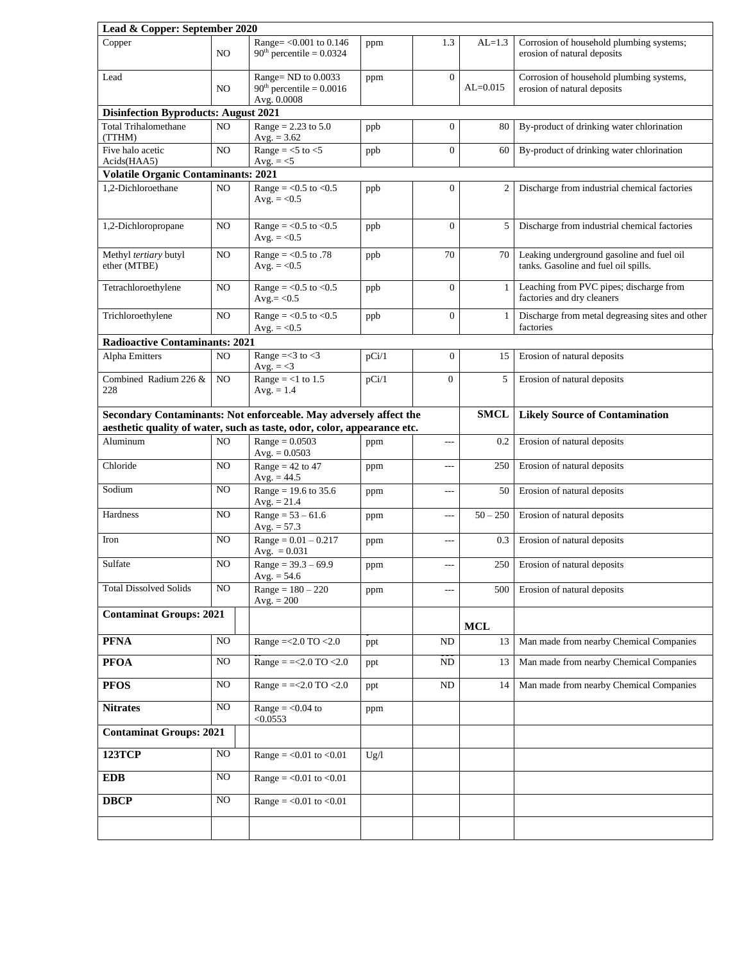| Lead & Copper: September 2020               |     |                                                                                                                                              |       |                |              |                                                                                   |  |  |  |  |
|---------------------------------------------|-----|----------------------------------------------------------------------------------------------------------------------------------------------|-------|----------------|--------------|-----------------------------------------------------------------------------------|--|--|--|--|
| Copper<br>NO.                               |     | Range= < 0.001 to 0.146<br>$90th$ percentile = 0.0324                                                                                        | ppm   | 1.3            | $AL=1.3$     | Corrosion of household plumbing systems;<br>erosion of natural deposits           |  |  |  |  |
| Lead                                        | NO. | Range= $ND$ to $0.0033$<br>$90th$ percentile = 0.0016<br>Avg. 0.0008                                                                         | ppm   | $\mathbf{0}$   | $AL = 0.015$ | Corrosion of household plumbing systems,<br>erosion of natural deposits           |  |  |  |  |
| <b>Disinfection Byproducts: August 2021</b> |     |                                                                                                                                              |       |                |              |                                                                                   |  |  |  |  |
| <b>Total Trihalomethane</b><br>(TTHM)       | NO. | Range = $2.23$ to $5.0$<br>Avg. $= 3.62$                                                                                                     | ppb   | $\mathbf{0}$   | 80           | By-product of drinking water chlorination                                         |  |  |  |  |
| Five halo acetic<br>Acids(HAA5)             | NO  | Range = $<$ 5 to $<$ 5<br>Avg. $=<$ 5                                                                                                        | ppb   | $\overline{0}$ | 60           | By-product of drinking water chlorination                                         |  |  |  |  |
| <b>Volatile Organic Contaminants: 2021</b>  |     |                                                                                                                                              |       |                |              |                                                                                   |  |  |  |  |
| 1,2-Dichloroethane                          | NO  | Range = $< 0.5$ to $< 0.5$<br>Avg. $= <0.5$                                                                                                  | ppb   | $\overline{0}$ | 2            | Discharge from industrial chemical factories                                      |  |  |  |  |
| NO<br>1,2-Dichloropropane                   |     | Range = $<$ 0.5 to $<$ 0.5<br>Avg. $= < 0.5$                                                                                                 | ppb   | $\overline{0}$ | 5            | Discharge from industrial chemical factories                                      |  |  |  |  |
| Methyl tertiary butyl<br>NO<br>ether (MTBE) |     | Range = $< 0.5$ to .78<br>Avg. $= < 0.5$                                                                                                     | ppb   | 70             | 70           | Leaking underground gasoline and fuel oil<br>tanks. Gasoline and fuel oil spills. |  |  |  |  |
| NO<br>Tetrachloroethylene                   |     | Range = $< 0.5$ to $< 0.5$<br>$Avg = < 0.5$                                                                                                  | ppb   | $\mathbf{0}$   | 1            | Leaching from PVC pipes; discharge from<br>factories and dry cleaners             |  |  |  |  |
| Trichloroethylene<br>NO                     |     | Range = $<$ 0.5 to $<$ 0.5<br>Avg. $= < 0.5$                                                                                                 | ppb   | $\overline{0}$ | $\mathbf{1}$ | Discharge from metal degreasing sites and other<br>factories                      |  |  |  |  |
| <b>Radioactive Contaminants: 2021</b>       |     |                                                                                                                                              |       |                |              |                                                                                   |  |  |  |  |
| Alpha Emitters                              | NO  | Range = $3$ to $3$<br>Avg. $=<$ 3                                                                                                            | pCi/1 | $\mathbf{0}$   | 15           | Erosion of natural deposits                                                       |  |  |  |  |
| Combined Radium 226 &<br>228                | NO  | Range = $<$ 1 to 1.5<br>Avg. $= 1.4$                                                                                                         | pCi/1 | $\overline{0}$ | 5            | Erosion of natural deposits                                                       |  |  |  |  |
|                                             |     | Secondary Contaminants: Not enforceable. May adversely affect the<br>aesthetic quality of water, such as taste, odor, color, appearance etc. |       |                | <b>SMCL</b>  | <b>Likely Source of Contamination</b>                                             |  |  |  |  |
| Aluminum                                    | NO. | $Range = 0.0503$<br>Avg. $= 0.0503$                                                                                                          | ppm   | $\overline{a}$ | $0.2\,$      | Erosion of natural deposits                                                       |  |  |  |  |
| Chloride                                    | NO. | Range = $42$ to $47$<br>Avg. $= 44.5$                                                                                                        | ppm   | ---            | 250          | Erosion of natural deposits                                                       |  |  |  |  |
| Sodium                                      | NO  | Range = $19.6$ to 35.6<br>Avg. $= 21.4$                                                                                                      | ppm   | ---            | 50           | Erosion of natural deposits                                                       |  |  |  |  |
| Hardness                                    | NO  | $Range = 53 - 61.6$<br>Avg. $= 57.3$                                                                                                         | ppm   | ---            | $50 - 250$   | Erosion of natural deposits                                                       |  |  |  |  |
| Iron                                        | NO  | $Range = 0.01 - 0.217$<br>Avg. $= 0.031$                                                                                                     | ppm   | ---            | 0.3          | Erosion of natural deposits                                                       |  |  |  |  |
| Sulfate                                     | NO  | $Range = 39.3 - 69.9$<br>Avg. $= 54.6$                                                                                                       | ppm   | $---$          | 250          | Erosion of natural deposits                                                       |  |  |  |  |
| <b>Total Dissolved Solids</b>               | NO  | $Range = 180 - 220$<br>$Avg. = 200$                                                                                                          | ppm   | ---            | 500          | Erosion of natural deposits                                                       |  |  |  |  |
| <b>Contaminat Groups: 2021</b>              |     |                                                                                                                                              |       |                | <b>MCL</b>   |                                                                                   |  |  |  |  |
| <b>PFNA</b>                                 | NO  | Range = <2.0 TO <2.0                                                                                                                         | ppt   | ND             | 13           | Man made from nearby Chemical Companies                                           |  |  |  |  |
| <b>PFOA</b>                                 | NO  | Range = $=<2.0$ TO $<2.0$                                                                                                                    | ppt   | $\rm ND$       | 13           | Man made from nearby Chemical Companies                                           |  |  |  |  |
| <b>PFOS</b>                                 | NO  | Range = $=<2.0$ TO $<2.0$                                                                                                                    | ppt   | ND             | 14           | Man made from nearby Chemical Companies                                           |  |  |  |  |
| <b>Nitrates</b>                             | NO  | Range $=$ <0.04 to<br>< 0.0553                                                                                                               | ppm   |                |              |                                                                                   |  |  |  |  |
| <b>Contaminat Groups: 2021</b>              |     |                                                                                                                                              |       |                |              |                                                                                   |  |  |  |  |
| <b>123TCP</b>                               | NO  | Range = $<$ 0.01 to $<$ 0.01                                                                                                                 | Ug/l  |                |              |                                                                                   |  |  |  |  |
| <b>EDB</b>                                  | NO  | Range = $<$ 0.01 to $<$ 0.01                                                                                                                 |       |                |              |                                                                                   |  |  |  |  |
| <b>DBCP</b>                                 | NO  | Range = $< 0.01$ to $< 0.01$                                                                                                                 |       |                |              |                                                                                   |  |  |  |  |
|                                             |     |                                                                                                                                              |       |                |              |                                                                                   |  |  |  |  |
|                                             |     |                                                                                                                                              |       |                |              |                                                                                   |  |  |  |  |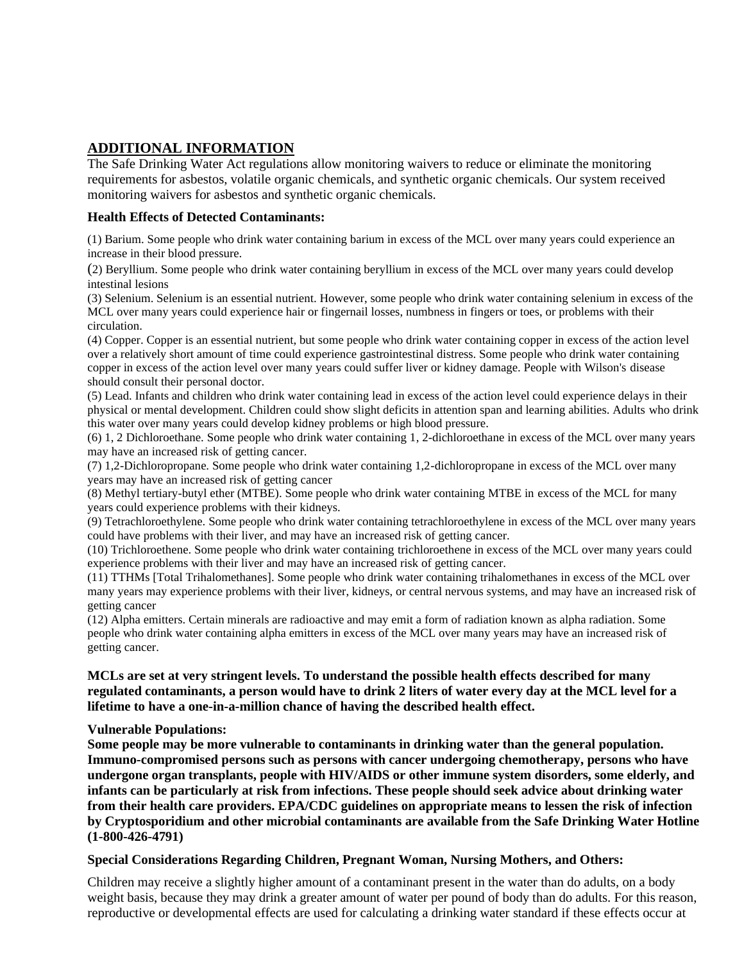## **ADDITIONAL INFORMATION**

The Safe Drinking Water Act regulations allow monitoring waivers to reduce or eliminate the monitoring requirements for asbestos, volatile organic chemicals, and synthetic organic chemicals. Our system received monitoring waivers for asbestos and synthetic organic chemicals.

## **Health Effects of Detected Contaminants:**

(1) Barium. Some people who drink water containing barium in excess of the MCL over many years could experience an increase in their blood pressure.

(2) Beryllium. Some people who drink water containing beryllium in excess of the MCL over many years could develop intestinal lesions

(3) Selenium. Selenium is an essential nutrient. However, some people who drink water containing selenium in excess of the MCL over many years could experience hair or fingernail losses, numbness in fingers or toes, or problems with their circulation.

(4) Copper. Copper is an essential nutrient, but some people who drink water containing copper in excess of the action level over a relatively short amount of time could experience gastrointestinal distress. Some people who drink water containing copper in excess of the action level over many years could suffer liver or kidney damage. People with Wilson's disease should consult their personal doctor.

(5) Lead. Infants and children who drink water containing lead in excess of the action level could experience delays in their physical or mental development. Children could show slight deficits in attention span and learning abilities. Adults who drink this water over many years could develop kidney problems or high blood pressure.

(6) 1, 2 Dichloroethane. Some people who drink water containing 1, 2-dichloroethane in excess of the MCL over many years may have an increased risk of getting cancer.

(7) 1,2-Dichloropropane. Some people who drink water containing 1,2-dichloropropane in excess of the MCL over many years may have an increased risk of getting cancer

(8) Methyl tertiary-butyl ether (MTBE). Some people who drink water containing MTBE in excess of the MCL for many years could experience problems with their kidneys.

(9) Tetrachloroethylene. Some people who drink water containing tetrachloroethylene in excess of the MCL over many years could have problems with their liver, and may have an increased risk of getting cancer.

(10) Trichloroethene. Some people who drink water containing trichloroethene in excess of the MCL over many years could experience problems with their liver and may have an increased risk of getting cancer.

(11) TTHMs [Total Trihalomethanes]. Some people who drink water containing trihalomethanes in excess of the MCL over many years may experience problems with their liver, kidneys, or central nervous systems, and may have an increased risk of getting cancer

(12) Alpha emitters. Certain minerals are radioactive and may emit a form of radiation known as alpha radiation. Some people who drink water containing alpha emitters in excess of the MCL over many years may have an increased risk of getting cancer.

## **MCLs are set at very stringent levels. To understand the possible health effects described for many regulated contaminants, a person would have to drink 2 liters of water every day at the MCL level for a lifetime to have a one-in-a-million chance of having the described health effect.**

#### **Vulnerable Populations:**

**Some people may be more vulnerable to contaminants in drinking water than the general population. Immuno-compromised persons such as persons with cancer undergoing chemotherapy, persons who have undergone organ transplants, people with HIV/AIDS or other immune system disorders, some elderly, and infants can be particularly at risk from infections. These people should seek advice about drinking water from their health care providers. EPA/CDC guidelines on appropriate means to lessen the risk of infection by Cryptosporidium and other microbial contaminants are available from the Safe Drinking Water Hotline (1-800-426-4791)**

## **Special Considerations Regarding Children, Pregnant Woman, Nursing Mothers, and Others:**

Children may receive a slightly higher amount of a contaminant present in the water than do adults, on a body weight basis, because they may drink a greater amount of water per pound of body than do adults. For this reason, reproductive or developmental effects are used for calculating a drinking water standard if these effects occur at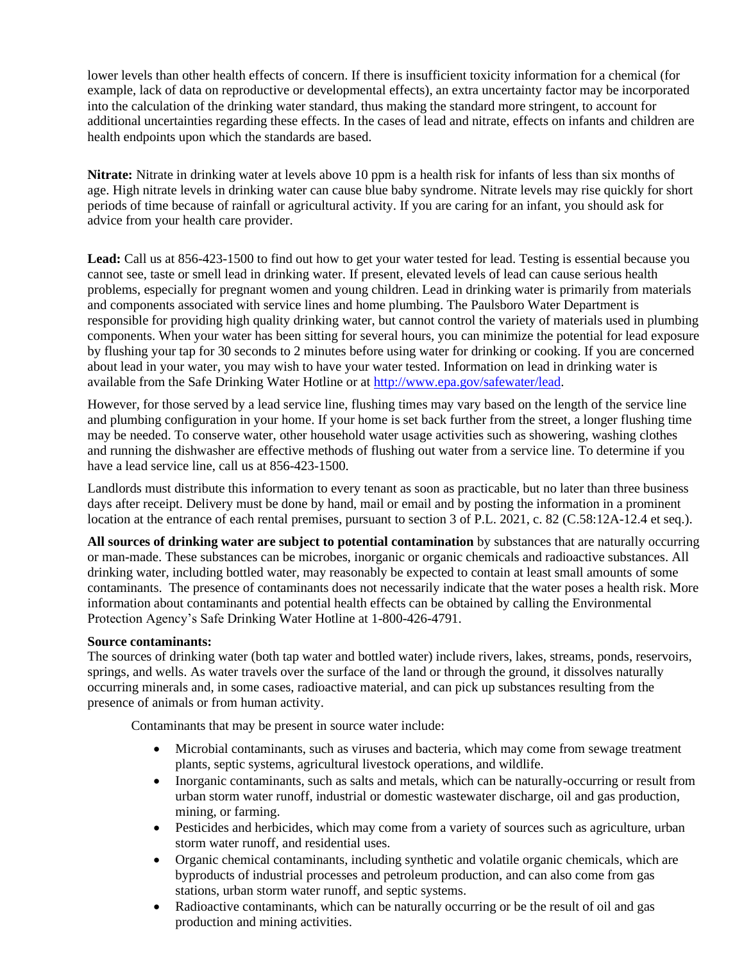lower levels than other health effects of concern. If there is insufficient toxicity information for a chemical (for example, lack of data on reproductive or developmental effects), an extra uncertainty factor may be incorporated into the calculation of the drinking water standard, thus making the standard more stringent, to account for additional uncertainties regarding these effects. In the cases of lead and nitrate, effects on infants and children are health endpoints upon which the standards are based.

**Nitrate:** Nitrate in drinking water at levels above 10 ppm is a health risk for infants of less than six months of age. High nitrate levels in drinking water can cause blue baby syndrome. Nitrate levels may rise quickly for short periods of time because of rainfall or agricultural activity. If you are caring for an infant, you should ask for advice from your health care provider.

**Lead:** Call us at 856-423-1500 to find out how to get your water tested for lead. Testing is essential because you cannot see, taste or smell lead in drinking water. If present, elevated levels of lead can cause serious health problems, especially for pregnant women and young children. Lead in drinking water is primarily from materials and components associated with service lines and home plumbing. The Paulsboro Water Department is responsible for providing high quality drinking water, but cannot control the variety of materials used in plumbing components. When your water has been sitting for several hours, you can minimize the potential for lead exposure by flushing your tap for 30 seconds to 2 minutes before using water for drinking or cooking. If you are concerned about lead in your water, you may wish to have your water tested. Information on lead in drinking water is available from the Safe Drinking Water Hotline or at [http://www.epa.gov/safewater/lead.](http://www.epa.gov/safewater/lead)

However, for those served by a lead service line, flushing times may vary based on the length of the service line and plumbing configuration in your home. If your home is set back further from the street, a longer flushing time may be needed. To conserve water, other household water usage activities such as showering, washing clothes and running the dishwasher are effective methods of flushing out water from a service line. To determine if you have a lead service line, call us at 856-423-1500.

Landlords must distribute this information to every tenant as soon as practicable, but no later than three business days after receipt. Delivery must be done by hand, mail or email and by posting the information in a prominent location at the entrance of each rental premises, pursuant to section 3 of P.L. 2021, c. 82 (C.58:12A-12.4 et seq.).

**All sources of drinking water are subject to potential contamination** by substances that are naturally occurring or man-made. These substances can be microbes, inorganic or organic chemicals and radioactive substances. All drinking water, including bottled water, may reasonably be expected to contain at least small amounts of some contaminants. The presence of contaminants does not necessarily indicate that the water poses a health risk. More information about contaminants and potential health effects can be obtained by calling the Environmental Protection Agency's Safe Drinking Water Hotline at 1-800-426-4791.

## **Source contaminants:**

The sources of drinking water (both tap water and bottled water) include rivers, lakes, streams, ponds, reservoirs, springs, and wells. As water travels over the surface of the land or through the ground, it dissolves naturally occurring minerals and, in some cases, radioactive material, and can pick up substances resulting from the presence of animals or from human activity.

Contaminants that may be present in source water include:

- Microbial contaminants, such as viruses and bacteria, which may come from sewage treatment plants, septic systems, agricultural livestock operations, and wildlife.
- Inorganic contaminants, such as salts and metals, which can be naturally-occurring or result from urban storm water runoff, industrial or domestic wastewater discharge, oil and gas production, mining, or farming.
- Pesticides and herbicides, which may come from a variety of sources such as agriculture, urban storm water runoff, and residential uses.
- Organic chemical contaminants, including synthetic and volatile organic chemicals, which are byproducts of industrial processes and petroleum production, and can also come from gas stations, urban storm water runoff, and septic systems.
- Radioactive contaminants, which can be naturally occurring or be the result of oil and gas production and mining activities.